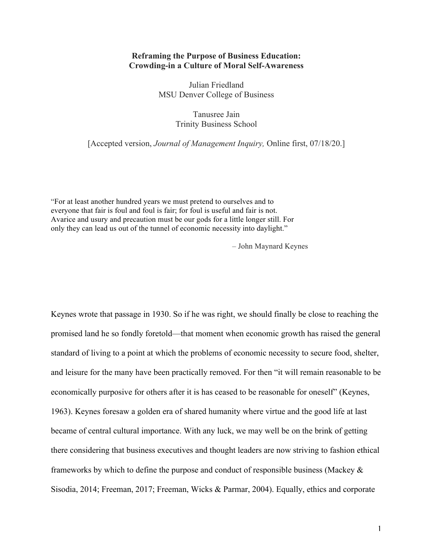#### **Reframing the Purpose of Business Education: Crowding-in a Culture of Moral Self-Awareness**

Julian Friedland MSU Denver College of Business

## Tanusree Jain Trinity Business School

[Accepted version, *Journal of Management Inquiry,* Online first, 07/18/20.]

"For at least another hundred years we must pretend to ourselves and to everyone that fair is foul and foul is fair; for foul is useful and fair is not. Avarice and usury and precaution must be our gods for a little longer still. For only they can lead us out of the tunnel of economic necessity into daylight."

– John Maynard Keynes

Keynes wrote that passage in 1930. So if he was right, we should finally be close to reaching the promised land he so fondly foretold—that moment when economic growth has raised the general standard of living to a point at which the problems of economic necessity to secure food, shelter, and leisure for the many have been practically removed. For then "it will remain reasonable to be economically purposive for others after it is has ceased to be reasonable for oneself" (Keynes, 1963). Keynes foresaw a golden era of shared humanity where virtue and the good life at last became of central cultural importance. With any luck, we may well be on the brink of getting there considering that business executives and thought leaders are now striving to fashion ethical frameworks by which to define the purpose and conduct of responsible business (Mackey  $\&$ Sisodia, 2014; Freeman, 2017; Freeman, Wicks & Parmar, 2004). Equally, ethics and corporate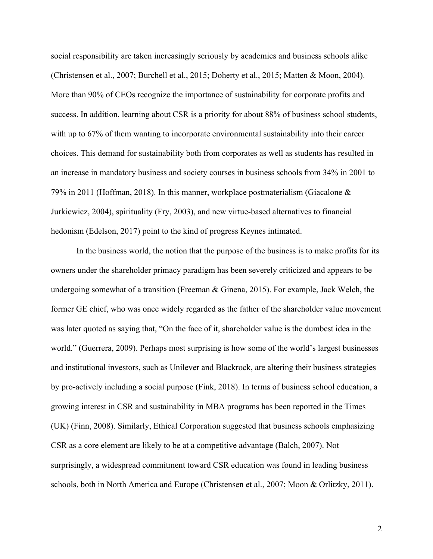social responsibility are taken increasingly seriously by academics and business schools alike (Christensen et al., 2007; Burchell et al., 2015; Doherty et al., 2015; Matten & Moon, 2004). More than 90% of CEOs recognize the importance of sustainability for corporate profits and success. In addition, learning about CSR is a priority for about 88% of business school students, with up to 67% of them wanting to incorporate environmental sustainability into their career choices. This demand for sustainability both from corporates as well as students has resulted in an increase in mandatory business and society courses in business schools from 34% in 2001 to 79% in 2011 (Hoffman, 2018). In this manner, workplace postmaterialism (Giacalone & Jurkiewicz, 2004), spirituality (Fry, 2003), and new virtue-based alternatives to financial hedonism (Edelson, 2017) point to the kind of progress Keynes intimated.

In the business world, the notion that the purpose of the business is to make profits for its owners under the shareholder primacy paradigm has been severely criticized and appears to be undergoing somewhat of a transition (Freeman & Ginena, 2015). For example, Jack Welch, the former GE chief, who was once widely regarded as the father of the shareholder value movement was later quoted as saying that, "On the face of it, shareholder value is the dumbest idea in the world." (Guerrera, 2009). Perhaps most surprising is how some of the world's largest businesses and institutional investors, such as Unilever and Blackrock, are altering their business strategies by pro-actively including a social purpose (Fink, 2018). In terms of business school education, a growing interest in CSR and sustainability in MBA programs has been reported in the Times (UK) (Finn, 2008). Similarly, Ethical Corporation suggested that business schools emphasizing CSR as a core element are likely to be at a competitive advantage (Balch, 2007). Not surprisingly, a widespread commitment toward CSR education was found in leading business schools, both in North America and Europe (Christensen et al., 2007; Moon & Orlitzky, 2011).

 $\mathfrak{D}$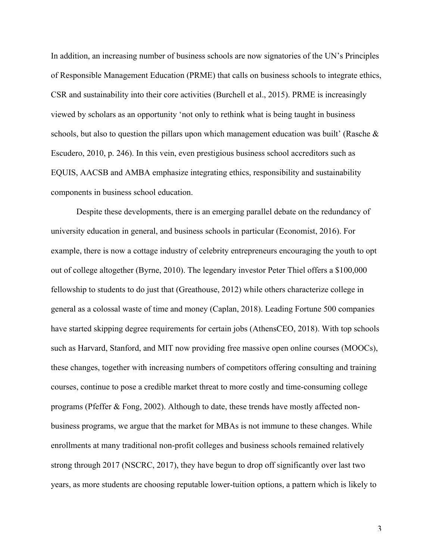In addition, an increasing number of business schools are now signatories of the UN's Principles of Responsible Management Education (PRME) that calls on business schools to integrate ethics, CSR and sustainability into their core activities (Burchell et al., 2015). PRME is increasingly viewed by scholars as an opportunity 'not only to rethink what is being taught in business schools, but also to question the pillars upon which management education was built' (Rasche & Escudero, 2010, p. 246). In this vein, even prestigious business school accreditors such as EQUIS, AACSB and AMBA emphasize integrating ethics, responsibility and sustainability components in business school education.

Despite these developments, there is an emerging parallel debate on the redundancy of university education in general, and business schools in particular (Economist, 2016). For example, there is now a cottage industry of celebrity entrepreneurs encouraging the youth to opt out of college altogether (Byrne, 2010). The legendary investor Peter Thiel offers a \$100,000 fellowship to students to do just that (Greathouse, 2012) while others characterize college in general as a colossal waste of time and money (Caplan, 2018). Leading Fortune 500 companies have started skipping degree requirements for certain jobs (AthensCEO, 2018). With top schools such as Harvard, Stanford, and MIT now providing free massive open online courses (MOOCs), these changes, together with increasing numbers of competitors offering consulting and training courses, continue to pose a credible market threat to more costly and time-consuming college programs (Pfeffer & Fong, 2002). Although to date, these trends have mostly affected nonbusiness programs, we argue that the market for MBAs is not immune to these changes. While enrollments at many traditional non-profit colleges and business schools remained relatively strong through 2017 (NSCRC, 2017), they have begun to drop off significantly over last two years, as more students are choosing reputable lower-tuition options, a pattern which is likely to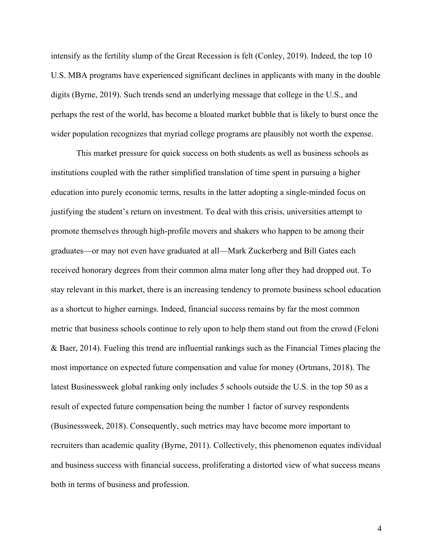intensify as the fertility slump of the Great Recession is felt (Conley, 2019). Indeed, the top 10 U.S. MBA programs have experienced significant declines in applicants with many in the double digits (Byrne, 2019). Such trends send an underlying message that college in the U.S., and perhaps the rest of the world, has become a bloated market bubble that is likely to burst once the wider population recognizes that myriad college programs are plausibly not worth the expense.

This market pressure for quick success on both students as well as business schools as institutions coupled with the rather simplified translation of time spent in pursuing a higher education into purely economic terms, results in the latter adopting a single-minded focus on justifying the student's return on investment. To deal with this crisis, universities attempt to promote themselves through high-profile movers and shakers who happen to be among their graduates—or may not even have graduated at all—Mark Zuckerberg and Bill Gates each received honorary degrees from their common alma mater long after they had dropped out. To stay relevant in this market, there is an increasing tendency to promote business school education as a shortcut to higher earnings. Indeed, financial success remains by far the most common metric that business schools continue to rely upon to help them stand out from the crowd (Feloni & Baer, 2014). Fueling this trend are influential rankings such as the Financial Times placing the most importance on expected future compensation and value for money (Ortmans, 2018). The latest Businessweek global ranking only includes 5 schools outside the U.S. in the top 50 as a result of expected future compensation being the number 1 factor of survey respondents (Businessweek, 2018). Consequently, such metrics may have become more important to recruiters than academic quality (Byrne, 2011). Collectively, this phenomenon equates individual and business success with financial success, proliferating a distorted view of what success means both in terms of business and profession.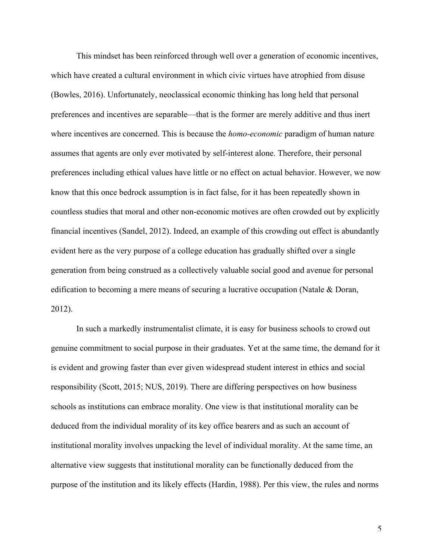This mindset has been reinforced through well over a generation of economic incentives, which have created a cultural environment in which civic virtues have atrophied from disuse (Bowles, 2016). Unfortunately, neoclassical economic thinking has long held that personal preferences and incentives are separable—that is the former are merely additive and thus inert where incentives are concerned. This is because the *homo-economic* paradigm of human nature assumes that agents are only ever motivated by self-interest alone. Therefore, their personal preferences including ethical values have little or no effect on actual behavior. However, we now know that this once bedrock assumption is in fact false, for it has been repeatedly shown in countless studies that moral and other non-economic motives are often crowded out by explicitly financial incentives (Sandel, 2012). Indeed, an example of this crowding out effect is abundantly evident here as the very purpose of a college education has gradually shifted over a single generation from being construed as a collectively valuable social good and avenue for personal edification to becoming a mere means of securing a lucrative occupation (Natale & Doran, 2012).

In such a markedly instrumentalist climate, it is easy for business schools to crowd out genuine commitment to social purpose in their graduates. Yet at the same time, the demand for it is evident and growing faster than ever given widespread student interest in ethics and social responsibility (Scott, 2015; NUS, 2019). There are differing perspectives on how business schools as institutions can embrace morality. One view is that institutional morality can be deduced from the individual morality of its key office bearers and as such an account of institutional morality involves unpacking the level of individual morality. At the same time, an alternative view suggests that institutional morality can be functionally deduced from the purpose of the institution and its likely effects (Hardin, 1988). Per this view, the rules and norms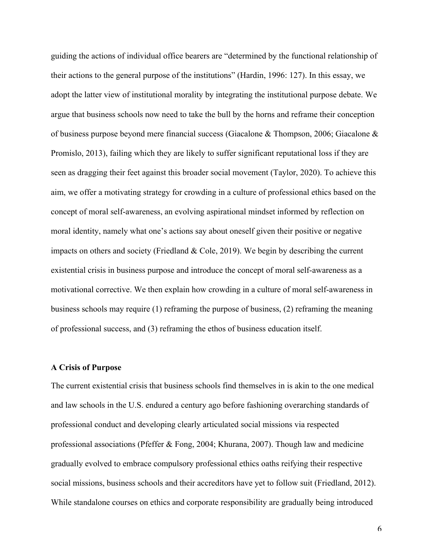guiding the actions of individual office bearers are "determined by the functional relationship of their actions to the general purpose of the institutions" (Hardin, 1996: 127). In this essay, we adopt the latter view of institutional morality by integrating the institutional purpose debate. We argue that business schools now need to take the bull by the horns and reframe their conception of business purpose beyond mere financial success (Giacalone & Thompson, 2006; Giacalone & Promislo, 2013), failing which they are likely to suffer significant reputational loss if they are seen as dragging their feet against this broader social movement (Taylor, 2020). To achieve this aim, we offer a motivating strategy for crowding in a culture of professional ethics based on the concept of moral self-awareness, an evolving aspirational mindset informed by reflection on moral identity, namely what one's actions say about oneself given their positive or negative impacts on others and society (Friedland  $\&$  Cole, 2019). We begin by describing the current existential crisis in business purpose and introduce the concept of moral self-awareness as a motivational corrective. We then explain how crowding in a culture of moral self-awareness in business schools may require (1) reframing the purpose of business, (2) reframing the meaning of professional success, and (3) reframing the ethos of business education itself.

#### **A Crisis of Purpose**

The current existential crisis that business schools find themselves in is akin to the one medical and law schools in the U.S. endured a century ago before fashioning overarching standards of professional conduct and developing clearly articulated social missions via respected professional associations (Pfeffer & Fong, 2004; Khurana, 2007). Though law and medicine gradually evolved to embrace compulsory professional ethics oaths reifying their respective social missions, business schools and their accreditors have yet to follow suit (Friedland, 2012). While standalone courses on ethics and corporate responsibility are gradually being introduced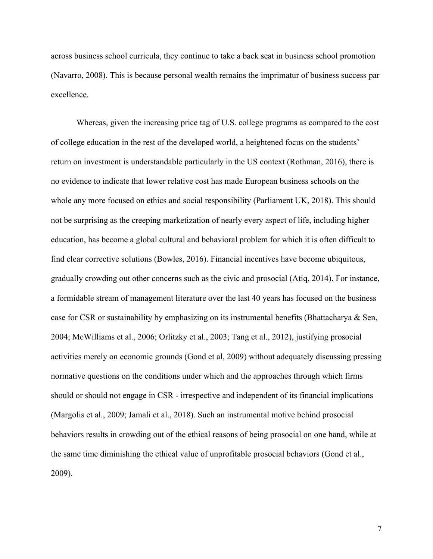across business school curricula, they continue to take a back seat in business school promotion (Navarro, 2008). This is because personal wealth remains the imprimatur of business success par excellence.

Whereas, given the increasing price tag of U.S. college programs as compared to the cost of college education in the rest of the developed world, a heightened focus on the students' return on investment is understandable particularly in the US context (Rothman, 2016), there is no evidence to indicate that lower relative cost has made European business schools on the whole any more focused on ethics and social responsibility (Parliament UK, 2018). This should not be surprising as the creeping marketization of nearly every aspect of life, including higher education, has become a global cultural and behavioral problem for which it is often difficult to find clear corrective solutions (Bowles, 2016). Financial incentives have become ubiquitous, gradually crowding out other concerns such as the civic and prosocial (Atiq, 2014). For instance, a formidable stream of management literature over the last 40 years has focused on the business case for CSR or sustainability by emphasizing on its instrumental benefits (Bhattacharya & Sen, 2004; McWilliams et al., 2006; Orlitzky et al., 2003; Tang et al., 2012), justifying prosocial activities merely on economic grounds (Gond et al, 2009) without adequately discussing pressing normative questions on the conditions under which and the approaches through which firms should or should not engage in CSR - irrespective and independent of its financial implications (Margolis et al., 2009; Jamali et al., 2018). Such an instrumental motive behind prosocial behaviors results in crowding out of the ethical reasons of being prosocial on one hand, while at the same time diminishing the ethical value of unprofitable prosocial behaviors (Gond et al., 2009).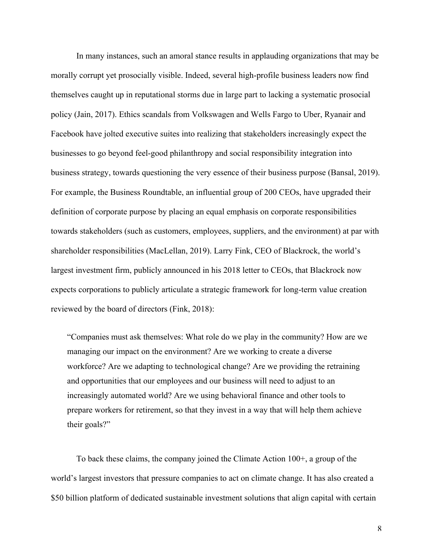In many instances, such an amoral stance results in applauding organizations that may be morally corrupt yet prosocially visible. Indeed, several high-profile business leaders now find themselves caught up in reputational storms due in large part to lacking a systematic prosocial policy (Jain, 2017). Ethics scandals from Volkswagen and Wells Fargo to Uber, Ryanair and Facebook have jolted executive suites into realizing that stakeholders increasingly expect the businesses to go beyond feel-good philanthropy and social responsibility integration into business strategy, towards questioning the very essence of their business purpose (Bansal, 2019). For example, the Business Roundtable, an influential group of 200 CEOs, have upgraded their definition of corporate purpose by placing an equal emphasis on corporate responsibilities towards stakeholders (such as customers, employees, suppliers, and the environment) at par with shareholder responsibilities (MacLellan, 2019). Larry Fink, CEO of Blackrock, the world's largest investment firm, publicly announced in his 2018 letter to CEOs, that Blackrock now expects corporations to publicly articulate a strategic framework for long-term value creation reviewed by the board of directors (Fink, 2018):

"Companies must ask themselves: What role do we play in the community? How are we managing our impact on the environment? Are we working to create a diverse workforce? Are we adapting to technological change? Are we providing the retraining and opportunities that our employees and our business will need to adjust to an increasingly automated world? Are we using behavioral finance and other tools to prepare workers for retirement, so that they invest in a way that will help them achieve their goals?"

To back these claims, the company joined the Climate Action 100+, a group of the world's largest investors that pressure companies to act on climate change. It has also created a \$50 billion platform of dedicated sustainable investment solutions that align capital with certain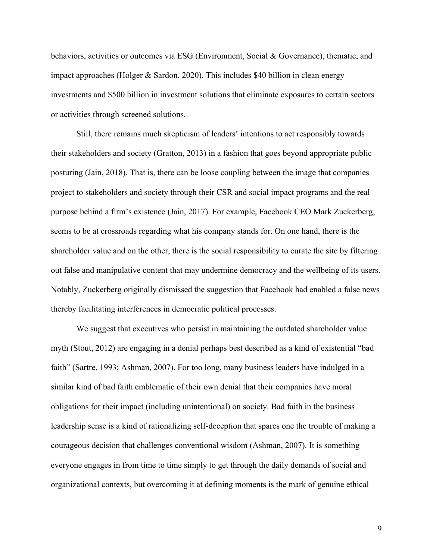behaviors, activities or outcomes via ESG (Environment, Social & Governance), thematic, and impact approaches (Holger & Sardon, 2020). This includes \$40 billion in clean energy investments and \$500 billion in investment solutions that eliminate exposures to certain sectors or activities through screened solutions.

Still, there remains much skepticism of leaders' intentions to act responsibly towards their stakeholders and society (Gratton, 2013) in a fashion that goes beyond appropriate public posturing (Jain, 2018). That is, there can be loose coupling between the image that companies project to stakeholders and society through their CSR and social impact programs and the real purpose behind a firm's existence (Jain, 2017). For example, Facebook CEO Mark Zuckerberg, seems to be at crossroads regarding what his company stands for. On one hand, there is the shareholder value and on the other, there is the social responsibility to curate the site by filtering out false and manipulative content that may undermine democracy and the wellbeing of its users. Notably, Zuckerberg originally dismissed the suggestion that Facebook had enabled a false news thereby facilitating interferences in democratic political processes.

We suggest that executives who persist in maintaining the outdated shareholder value myth (Stout, 2012) are engaging in a denial perhaps best described as a kind of existential "bad faith" (Sartre, 1993; Ashman, 2007). For too long, many business leaders have indulged in a similar kind of bad faith emblematic of their own denial that their companies have moral obligations for their impact (including unintentional) on society. Bad faith in the business leadership sense is a kind of rationalizing self-deception that spares one the trouble of making a courageous decision that challenges conventional wisdom (Ashman, 2007). It is something everyone engages in from time to time simply to get through the daily demands of social and organizational contexts, but overcoming it at defining moments is the mark of genuine ethical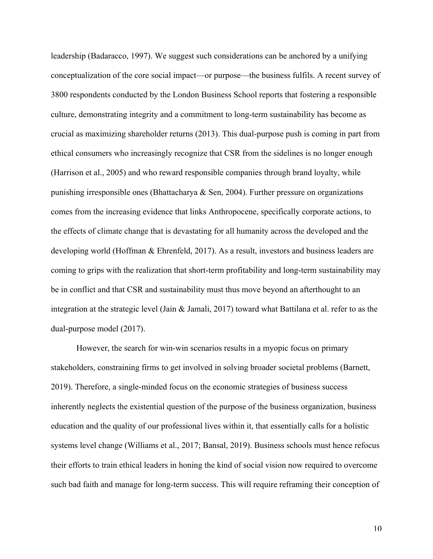leadership (Badaracco, 1997). We suggest such considerations can be anchored by a unifying conceptualization of the core social impact—or purpose—the business fulfils. A recent survey of 3800 respondents conducted by the London Business School reports that fostering a responsible culture, demonstrating integrity and a commitment to long-term sustainability has become as crucial as maximizing shareholder returns (2013). This dual-purpose push is coming in part from ethical consumers who increasingly recognize that CSR from the sidelines is no longer enough (Harrison et al., 2005) and who reward responsible companies through brand loyalty, while punishing irresponsible ones (Bhattacharya  $\&$  Sen, 2004). Further pressure on organizations comes from the increasing evidence that links Anthropocene, specifically corporate actions, to the effects of climate change that is devastating for all humanity across the developed and the developing world (Hoffman & Ehrenfeld, 2017). As a result, investors and business leaders are coming to grips with the realization that short-term profitability and long-term sustainability may be in conflict and that CSR and sustainability must thus move beyond an afterthought to an integration at the strategic level (Jain & Jamali, 2017) toward what Battilana et al. refer to as the dual-purpose model (2017).

However, the search for win-win scenarios results in a myopic focus on primary stakeholders, constraining firms to get involved in solving broader societal problems (Barnett, 2019). Therefore, a single-minded focus on the economic strategies of business success inherently neglects the existential question of the purpose of the business organization, business education and the quality of our professional lives within it, that essentially calls for a holistic systems level change (Williams et al., 2017; Bansal, 2019). Business schools must hence refocus their efforts to train ethical leaders in honing the kind of social vision now required to overcome such bad faith and manage for long-term success. This will require reframing their conception of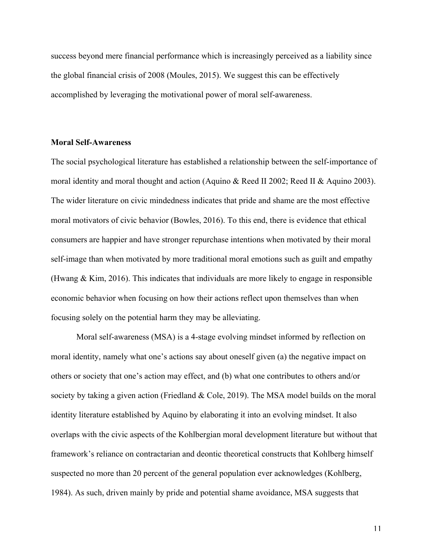success beyond mere financial performance which is increasingly perceived as a liability since the global financial crisis of 2008 (Moules, 2015). We suggest this can be effectively accomplished by leveraging the motivational power of moral self-awareness.

#### **Moral Self-Awareness**

The social psychological literature has established a relationship between the self-importance of moral identity and moral thought and action (Aquino & Reed II 2002; Reed II & Aquino 2003). The wider literature on civic mindedness indicates that pride and shame are the most effective moral motivators of civic behavior (Bowles, 2016). To this end, there is evidence that ethical consumers are happier and have stronger repurchase intentions when motivated by their moral self-image than when motivated by more traditional moral emotions such as guilt and empathy (Hwang & Kim, 2016). This indicates that individuals are more likely to engage in responsible economic behavior when focusing on how their actions reflect upon themselves than when focusing solely on the potential harm they may be alleviating.

Moral self-awareness (MSA) is a 4-stage evolving mindset informed by reflection on moral identity, namely what one's actions say about oneself given (a) the negative impact on others or society that one's action may effect, and (b) what one contributes to others and/or society by taking a given action (Friedland & Cole, 2019). The MSA model builds on the moral identity literature established by Aquino by elaborating it into an evolving mindset. It also overlaps with the civic aspects of the Kohlbergian moral development literature but without that framework's reliance on contractarian and deontic theoretical constructs that Kohlberg himself suspected no more than 20 percent of the general population ever acknowledges (Kohlberg, 1984). As such, driven mainly by pride and potential shame avoidance, MSA suggests that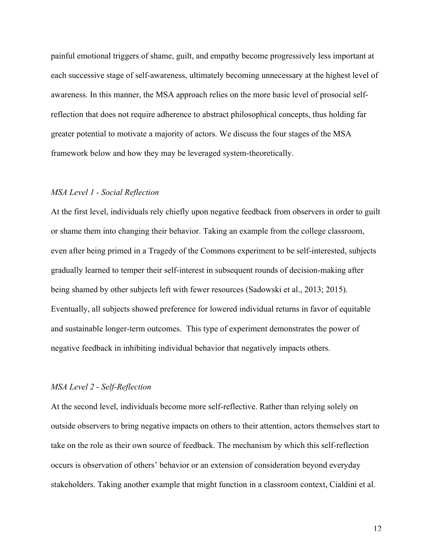painful emotional triggers of shame, guilt, and empathy become progressively less important at each successive stage of self-awareness, ultimately becoming unnecessary at the highest level of awareness. In this manner, the MSA approach relies on the more basic level of prosocial selfreflection that does not require adherence to abstract philosophical concepts, thus holding far greater potential to motivate a majority of actors. We discuss the four stages of the MSA framework below and how they may be leveraged system-theoretically.

#### *MSA Level 1 - Social Reflection*

At the first level, individuals rely chiefly upon negative feedback from observers in order to guilt or shame them into changing their behavior. Taking an example from the college classroom, even after being primed in a Tragedy of the Commons experiment to be self-interested, subjects gradually learned to temper their self-interest in subsequent rounds of decision-making after being shamed by other subjects left with fewer resources (Sadowski et al., 2013; 2015). Eventually, all subjects showed preference for lowered individual returns in favor of equitable and sustainable longer-term outcomes. This type of experiment demonstrates the power of negative feedback in inhibiting individual behavior that negatively impacts others.

## *MSA Level 2 - Self-Reflection*

At the second level, individuals become more self-reflective. Rather than relying solely on outside observers to bring negative impacts on others to their attention, actors themselves start to take on the role as their own source of feedback. The mechanism by which this self-reflection occurs is observation of others' behavior or an extension of consideration beyond everyday stakeholders. Taking another example that might function in a classroom context, Cialdini et al.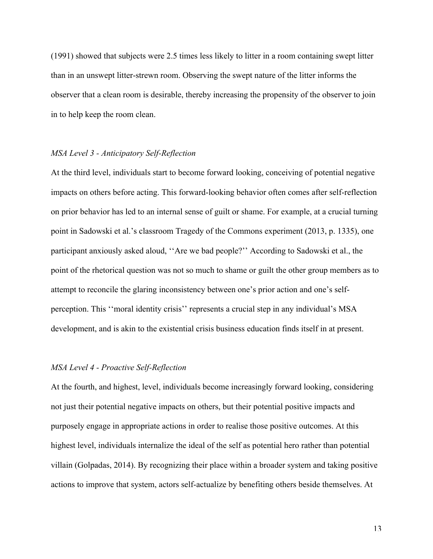(1991) showed that subjects were 2.5 times less likely to litter in a room containing swept litter than in an unswept litter-strewn room. Observing the swept nature of the litter informs the observer that a clean room is desirable, thereby increasing the propensity of the observer to join in to help keep the room clean.

#### *MSA Level 3 - Anticipatory Self-Reflection*

At the third level, individuals start to become forward looking, conceiving of potential negative impacts on others before acting. This forward-looking behavior often comes after self-reflection on prior behavior has led to an internal sense of guilt or shame. For example, at a crucial turning point in Sadowski et al.'s classroom Tragedy of the Commons experiment (2013, p. 1335), one participant anxiously asked aloud, ''Are we bad people?'' According to Sadowski et al., the point of the rhetorical question was not so much to shame or guilt the other group members as to attempt to reconcile the glaring inconsistency between one's prior action and one's selfperception. This ''moral identity crisis'' represents a crucial step in any individual's MSA development, and is akin to the existential crisis business education finds itself in at present.

## *MSA Level 4 - Proactive Self-Reflection*

At the fourth, and highest, level, individuals become increasingly forward looking, considering not just their potential negative impacts on others, but their potential positive impacts and purposely engage in appropriate actions in order to realise those positive outcomes. At this highest level, individuals internalize the ideal of the self as potential hero rather than potential villain (Golpadas, 2014). By recognizing their place within a broader system and taking positive actions to improve that system, actors self-actualize by benefiting others beside themselves. At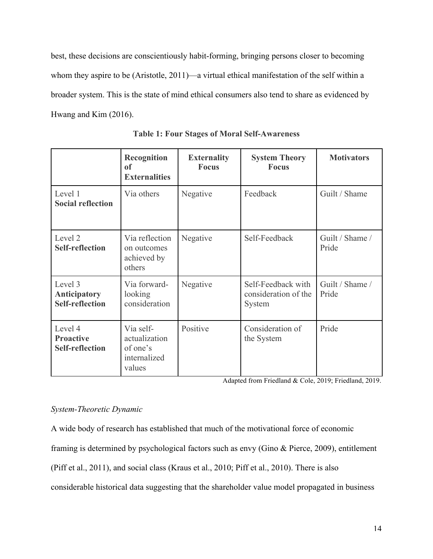best, these decisions are conscientiously habit-forming, bringing persons closer to becoming whom they aspire to be (Aristotle, 2011)—a virtual ethical manifestation of the self within a broader system. This is the state of mind ethical consumers also tend to share as evidenced by Hwang and Kim (2016).

|                                                          | <b>Recognition</b><br>of<br><b>Externalities</b>                 | <b>Externality</b><br><b>Focus</b> | <b>System Theory</b><br><b>Focus</b>                 | <b>Motivators</b>        |
|----------------------------------------------------------|------------------------------------------------------------------|------------------------------------|------------------------------------------------------|--------------------------|
| Level 1<br><b>Social reflection</b>                      | Via others                                                       | Negative                           | Feedback                                             | Guilt / Shame            |
| Level 2<br><b>Self-reflection</b>                        | Via reflection<br>on outcomes<br>achieved by<br>others           | Negative                           | Self-Feedback                                        | Guilt / Shame /<br>Pride |
| Level 3<br><b>Anticipatory</b><br><b>Self-reflection</b> | Via forward-<br>looking<br>consideration                         | Negative                           | Self-Feedback with<br>consideration of the<br>System | Guilt / Shame /<br>Pride |
| Level 4<br><b>Proactive</b><br><b>Self-reflection</b>    | Via self-<br>actualization<br>of one's<br>internalized<br>values | Positive                           | Consideration of<br>the System                       | Pride                    |

**Table 1: Four Stages of Moral Self-Awareness**

Adapted from Friedland & Cole, 2019; Friedland, 2019.

# *System-Theoretic Dynamic*

A wide body of research has established that much of the motivational force of economic framing is determined by psychological factors such as envy (Gino & Pierce, 2009), entitlement (Piff et al., 2011), and social class (Kraus et al., 2010; Piff et al., 2010). There is also considerable historical data suggesting that the shareholder value model propagated in business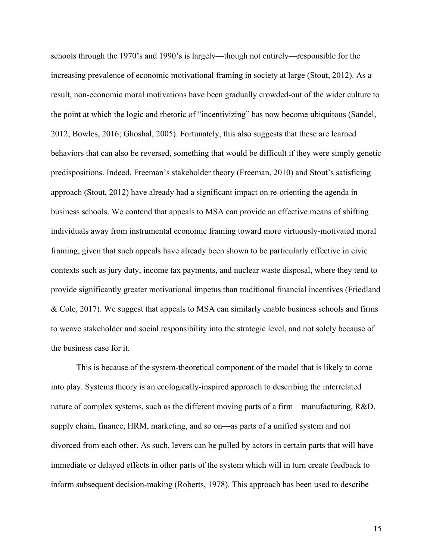schools through the 1970's and 1990's is largely—though not entirely—responsible for the increasing prevalence of economic motivational framing in society at large (Stout, 2012). As a result, non-economic moral motivations have been gradually crowded-out of the wider culture to the point at which the logic and rhetoric of "incentivizing" has now become ubiquitous (Sandel, 2012; Bowles, 2016; Ghoshal, 2005). Fortunately, this also suggests that these are learned behaviors that can also be reversed, something that would be difficult if they were simply genetic predispositions. Indeed, Freeman's stakeholder theory (Freeman, 2010) and Stout's satisficing approach (Stout, 2012) have already had a significant impact on re-orienting the agenda in business schools. We contend that appeals to MSA can provide an effective means of shifting individuals away from instrumental economic framing toward more virtuously-motivated moral framing, given that such appeals have already been shown to be particularly effective in civic contexts such as jury duty, income tax payments, and nuclear waste disposal, where they tend to provide significantly greater motivational impetus than traditional financial incentives (Friedland & Cole, 2017). We suggest that appeals to MSA can similarly enable business schools and firms to weave stakeholder and social responsibility into the strategic level, and not solely because of the business case for it.

This is because of the system-theoretical component of the model that is likely to come into play. Systems theory is an ecologically-inspired approach to describing the interrelated nature of complex systems, such as the different moving parts of a firm—manufacturing, R&D, supply chain, finance, HRM, marketing, and so on—as parts of a unified system and not divorced from each other. As such, levers can be pulled by actors in certain parts that will have immediate or delayed effects in other parts of the system which will in turn create feedback to inform subsequent decision-making (Roberts, 1978). This approach has been used to describe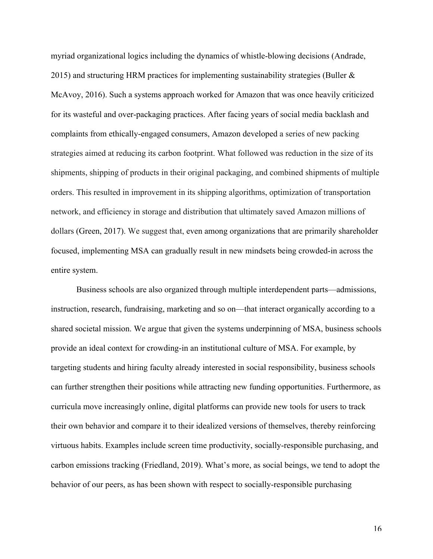myriad organizational logics including the dynamics of whistle-blowing decisions (Andrade, 2015) and structuring HRM practices for implementing sustainability strategies (Buller  $\&$ McAvoy, 2016). Such a systems approach worked for Amazon that was once heavily criticized for its wasteful and over-packaging practices. After facing years of social media backlash and complaints from ethically-engaged consumers, Amazon developed a series of new packing strategies aimed at reducing its carbon footprint. What followed was reduction in the size of its shipments, shipping of products in their original packaging, and combined shipments of multiple orders. This resulted in improvement in its shipping algorithms, optimization of transportation network, and efficiency in storage and distribution that ultimately saved Amazon millions of dollars (Green, 2017). We suggest that, even among organizations that are primarily shareholder focused, implementing MSA can gradually result in new mindsets being crowded-in across the entire system.

Business schools are also organized through multiple interdependent parts—admissions, instruction, research, fundraising, marketing and so on—that interact organically according to a shared societal mission. We argue that given the systems underpinning of MSA, business schools provide an ideal context for crowding-in an institutional culture of MSA. For example, by targeting students and hiring faculty already interested in social responsibility, business schools can further strengthen their positions while attracting new funding opportunities. Furthermore, as curricula move increasingly online, digital platforms can provide new tools for users to track their own behavior and compare it to their idealized versions of themselves, thereby reinforcing virtuous habits. Examples include screen time productivity, socially-responsible purchasing, and carbon emissions tracking (Friedland, 2019). What's more, as social beings, we tend to adopt the behavior of our peers, as has been shown with respect to socially-responsible purchasing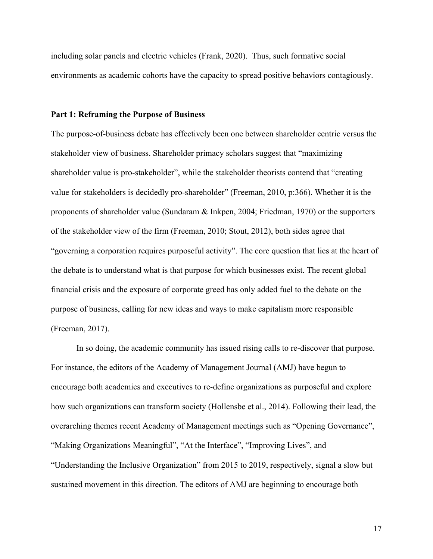including solar panels and electric vehicles (Frank, 2020). Thus, such formative social environments as academic cohorts have the capacity to spread positive behaviors contagiously.

#### **Part 1: Reframing the Purpose of Business**

The purpose-of-business debate has effectively been one between shareholder centric versus the stakeholder view of business. Shareholder primacy scholars suggest that "maximizing shareholder value is pro-stakeholder", while the stakeholder theorists contend that "creating value for stakeholders is decidedly pro-shareholder" (Freeman, 2010, p:366). Whether it is the proponents of shareholder value (Sundaram & Inkpen, 2004; Friedman, 1970) or the supporters of the stakeholder view of the firm (Freeman, 2010; Stout, 2012), both sides agree that "governing a corporation requires purposeful activity". The core question that lies at the heart of the debate is to understand what is that purpose for which businesses exist. The recent global financial crisis and the exposure of corporate greed has only added fuel to the debate on the purpose of business, calling for new ideas and ways to make capitalism more responsible (Freeman, 2017).

In so doing, the academic community has issued rising calls to re-discover that purpose. For instance, the editors of the Academy of Management Journal (AMJ) have begun to encourage both academics and executives to re-define organizations as purposeful and explore how such organizations can transform society (Hollensbe et al., 2014). Following their lead, the overarching themes recent Academy of Management meetings such as "Opening Governance", "Making Organizations Meaningful", "At the Interface", "Improving Lives", and "Understanding the Inclusive Organization" from 2015 to 2019, respectively, signal a slow but sustained movement in this direction. The editors of AMJ are beginning to encourage both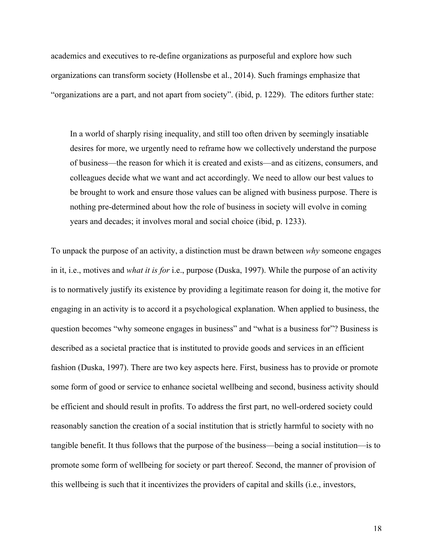academics and executives to re-define organizations as purposeful and explore how such organizations can transform society (Hollensbe et al., 2014). Such framings emphasize that "organizations are a part, and not apart from society". (ibid, p. 1229). The editors further state:

In a world of sharply rising inequality, and still too often driven by seemingly insatiable desires for more, we urgently need to reframe how we collectively understand the purpose of business—the reason for which it is created and exists—and as citizens, consumers, and colleagues decide what we want and act accordingly. We need to allow our best values to be brought to work and ensure those values can be aligned with business purpose. There is nothing pre-determined about how the role of business in society will evolve in coming years and decades; it involves moral and social choice (ibid, p. 1233).

To unpack the purpose of an activity, a distinction must be drawn between *why* someone engages in it, i.e., motives and *what it is for* i.e., purpose (Duska, 1997). While the purpose of an activity is to normatively justify its existence by providing a legitimate reason for doing it, the motive for engaging in an activity is to accord it a psychological explanation. When applied to business, the question becomes "why someone engages in business" and "what is a business for"? Business is described as a societal practice that is instituted to provide goods and services in an efficient fashion (Duska, 1997). There are two key aspects here. First, business has to provide or promote some form of good or service to enhance societal wellbeing and second, business activity should be efficient and should result in profits. To address the first part, no well-ordered society could reasonably sanction the creation of a social institution that is strictly harmful to society with no tangible benefit. It thus follows that the purpose of the business—being a social institution—is to promote some form of wellbeing for society or part thereof. Second, the manner of provision of this wellbeing is such that it incentivizes the providers of capital and skills (i.e., investors,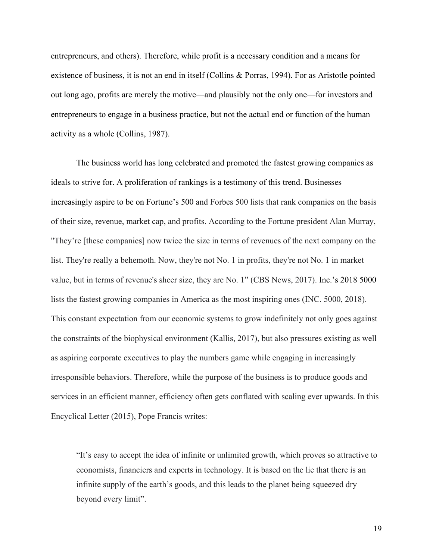entrepreneurs, and others). Therefore, while profit is a necessary condition and a means for existence of business, it is not an end in itself (Collins & Porras, 1994). For as Aristotle pointed out long ago, profits are merely the motive—and plausibly not the only one—for investors and entrepreneurs to engage in a business practice, but not the actual end or function of the human activity as a whole (Collins, 1987).

The business world has long celebrated and promoted the fastest growing companies as ideals to strive for. A proliferation of rankings is a testimony of this trend. Businesses increasingly aspire to be on Fortune's 500 and Forbes 500 lists that rank companies on the basis of their size, revenue, market cap, and profits. According to the Fortune president Alan Murray, "They're [these companies] now twice the size in terms of revenues of the next company on the list. They're really a behemoth. Now, they're not No. 1 in profits, they're not No. 1 in market value, but in terms of revenue's sheer size, they are No. 1" (CBS News, 2017). Inc.'s 2018 5000 lists the fastest growing companies in America as the most inspiring ones (INC. 5000, 2018). This constant expectation from our economic systems to grow indefinitely not only goes against the constraints of the biophysical environment (Kallis, 2017), but also pressures existing as well as aspiring corporate executives to play the numbers game while engaging in increasingly irresponsible behaviors. Therefore, while the purpose of the business is to produce goods and services in an efficient manner, efficiency often gets conflated with scaling ever upwards. In this Encyclical Letter (2015), Pope Francis writes:

"It's easy to accept the idea of infinite or unlimited growth, which proves so attractive to economists, financiers and experts in technology. It is based on the lie that there is an infinite supply of the earth's goods, and this leads to the planet being squeezed dry beyond every limit".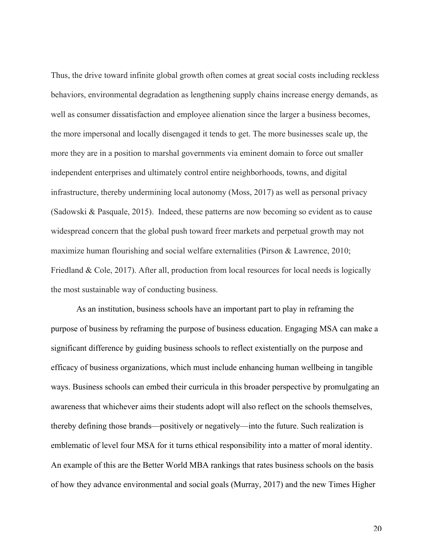Thus, the drive toward infinite global growth often comes at great social costs including reckless behaviors, environmental degradation as lengthening supply chains increase energy demands, as well as consumer dissatisfaction and employee alienation since the larger a business becomes, the more impersonal and locally disengaged it tends to get. The more businesses scale up, the more they are in a position to marshal governments via eminent domain to force out smaller independent enterprises and ultimately control entire neighborhoods, towns, and digital infrastructure, thereby undermining local autonomy (Moss, 2017) as well as personal privacy (Sadowski & Pasquale, 2015). Indeed, these patterns are now becoming so evident as to cause widespread concern that the global push toward freer markets and perpetual growth may not maximize human flourishing and social welfare externalities (Pirson & Lawrence, 2010; Friedland & Cole, 2017). After all, production from local resources for local needs is logically the most sustainable way of conducting business.

As an institution, business schools have an important part to play in reframing the purpose of business by reframing the purpose of business education. Engaging MSA can make a significant difference by guiding business schools to reflect existentially on the purpose and efficacy of business organizations, which must include enhancing human wellbeing in tangible ways. Business schools can embed their curricula in this broader perspective by promulgating an awareness that whichever aims their students adopt will also reflect on the schools themselves, thereby defining those brands—positively or negatively—into the future. Such realization is emblematic of level four MSA for it turns ethical responsibility into a matter of moral identity. An example of this are the Better World MBA rankings that rates business schools on the basis of how they advance environmental and social goals (Murray, 2017) and the new Times Higher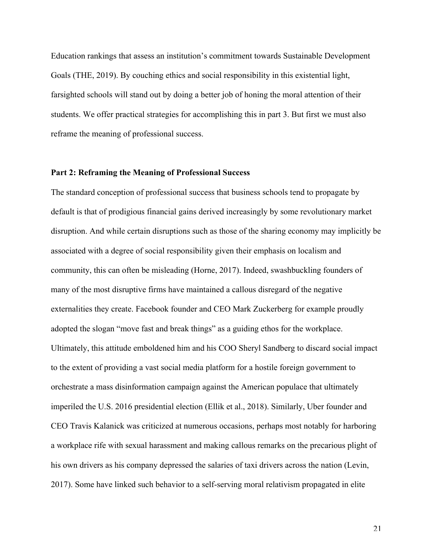Education rankings that assess an institution's commitment towards Sustainable Development Goals (THE, 2019). By couching ethics and social responsibility in this existential light, farsighted schools will stand out by doing a better job of honing the moral attention of their students. We offer practical strategies for accomplishing this in part 3. But first we must also reframe the meaning of professional success.

# **Part 2: Reframing the Meaning of Professional Success**

The standard conception of professional success that business schools tend to propagate by default is that of prodigious financial gains derived increasingly by some revolutionary market disruption. And while certain disruptions such as those of the sharing economy may implicitly be associated with a degree of social responsibility given their emphasis on localism and community, this can often be misleading (Horne, 2017). Indeed, swashbuckling founders of many of the most disruptive firms have maintained a callous disregard of the negative externalities they create. Facebook founder and CEO Mark Zuckerberg for example proudly adopted the slogan "move fast and break things" as a guiding ethos for the workplace. Ultimately, this attitude emboldened him and his COO Sheryl Sandberg to discard social impact to the extent of providing a vast social media platform for a hostile foreign government to orchestrate a mass disinformation campaign against the American populace that ultimately imperiled the U.S. 2016 presidential election (Ellik et al., 2018). Similarly, Uber founder and CEO Travis Kalanick was criticized at numerous occasions, perhaps most notably for harboring a workplace rife with sexual harassment and making callous remarks on the precarious plight of his own drivers as his company depressed the salaries of taxi drivers across the nation (Levin, 2017). Some have linked such behavior to a self-serving moral relativism propagated in elite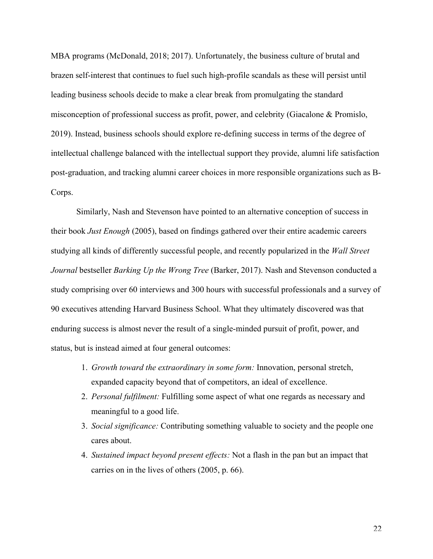MBA programs (McDonald, 2018; 2017). Unfortunately, the business culture of brutal and brazen self-interest that continues to fuel such high-profile scandals as these will persist until leading business schools decide to make a clear break from promulgating the standard misconception of professional success as profit, power, and celebrity (Giacalone & Promislo, 2019). Instead, business schools should explore re-defining success in terms of the degree of intellectual challenge balanced with the intellectual support they provide, alumni life satisfaction post-graduation, and tracking alumni career choices in more responsible organizations such as B-Corps.

Similarly, Nash and Stevenson have pointed to an alternative conception of success in their book *Just Enough* (2005), based on findings gathered over their entire academic careers studying all kinds of differently successful people, and recently popularized in the *Wall Street Journal* bestseller *Barking Up the Wrong Tree* (Barker, 2017). Nash and Stevenson conducted a study comprising over 60 interviews and 300 hours with successful professionals and a survey of 90 executives attending Harvard Business School. What they ultimately discovered was that enduring success is almost never the result of a single-minded pursuit of profit, power, and status, but is instead aimed at four general outcomes:

- 1. *Growth toward the extraordinary in some form:* Innovation, personal stretch, expanded capacity beyond that of competitors, an ideal of excellence.
- 2. *Personal fulfilment:* Fulfilling some aspect of what one regards as necessary and meaningful to a good life.
- 3. *Social significance:* Contributing something valuable to society and the people one cares about.
- 4. *Sustained impact beyond present effects:* Not a flash in the pan but an impact that carries on in the lives of others (2005, p. 66).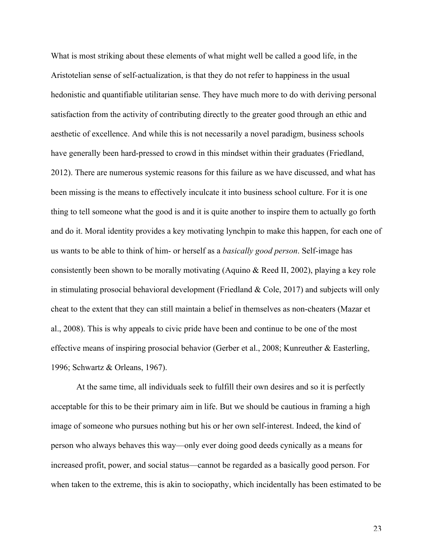What is most striking about these elements of what might well be called a good life, in the Aristotelian sense of self-actualization, is that they do not refer to happiness in the usual hedonistic and quantifiable utilitarian sense. They have much more to do with deriving personal satisfaction from the activity of contributing directly to the greater good through an ethic and aesthetic of excellence. And while this is not necessarily a novel paradigm, business schools have generally been hard-pressed to crowd in this mindset within their graduates (Friedland, 2012). There are numerous systemic reasons for this failure as we have discussed, and what has been missing is the means to effectively inculcate it into business school culture. For it is one thing to tell someone what the good is and it is quite another to inspire them to actually go forth and do it. Moral identity provides a key motivating lynchpin to make this happen, for each one of us wants to be able to think of him- or herself as a *basically good person*. Self-image has consistently been shown to be morally motivating (Aquino  $\&$  Reed II, 2002), playing a key role in stimulating prosocial behavioral development (Friedland & Cole, 2017) and subjects will only cheat to the extent that they can still maintain a belief in themselves as non-cheaters (Mazar et al., 2008). This is why appeals to civic pride have been and continue to be one of the most effective means of inspiring prosocial behavior (Gerber et al., 2008; Kunreuther & Easterling, 1996; Schwartz & Orleans, 1967).

At the same time, all individuals seek to fulfill their own desires and so it is perfectly acceptable for this to be their primary aim in life. But we should be cautious in framing a high image of someone who pursues nothing but his or her own self-interest. Indeed, the kind of person who always behaves this way—only ever doing good deeds cynically as a means for increased profit, power, and social status—cannot be regarded as a basically good person. For when taken to the extreme, this is akin to sociopathy, which incidentally has been estimated to be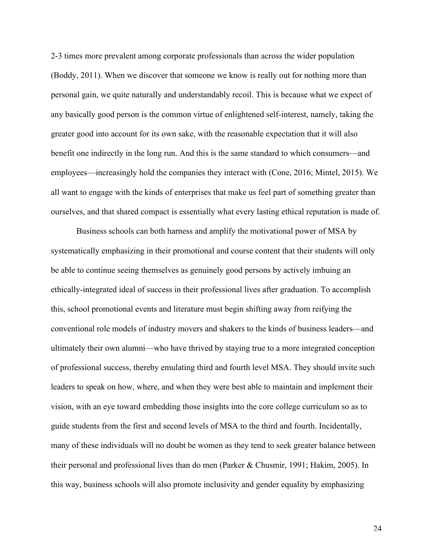2-3 times more prevalent among corporate professionals than across the wider population (Boddy, 2011). When we discover that someone we know is really out for nothing more than personal gain, we quite naturally and understandably recoil. This is because what we expect of any basically good person is the common virtue of enlightened self-interest, namely, taking the greater good into account for its own sake, with the reasonable expectation that it will also benefit one indirectly in the long run. And this is the same standard to which consumers—and employees—increasingly hold the companies they interact with (Cone, 2016; Mintel, 2015). We all want to engage with the kinds of enterprises that make us feel part of something greater than ourselves, and that shared compact is essentially what every lasting ethical reputation is made of.

Business schools can both harness and amplify the motivational power of MSA by systematically emphasizing in their promotional and course content that their students will only be able to continue seeing themselves as genuinely good persons by actively imbuing an ethically-integrated ideal of success in their professional lives after graduation. To accomplish this, school promotional events and literature must begin shifting away from reifying the conventional role models of industry movers and shakers to the kinds of business leaders—and ultimately their own alumni—who have thrived by staying true to a more integrated conception of professional success, thereby emulating third and fourth level MSA. They should invite such leaders to speak on how, where, and when they were best able to maintain and implement their vision, with an eye toward embedding those insights into the core college curriculum so as to guide students from the first and second levels of MSA to the third and fourth. Incidentally, many of these individuals will no doubt be women as they tend to seek greater balance between their personal and professional lives than do men (Parker & Chusmir, 1991; Hakim, 2005). In this way, business schools will also promote inclusivity and gender equality by emphasizing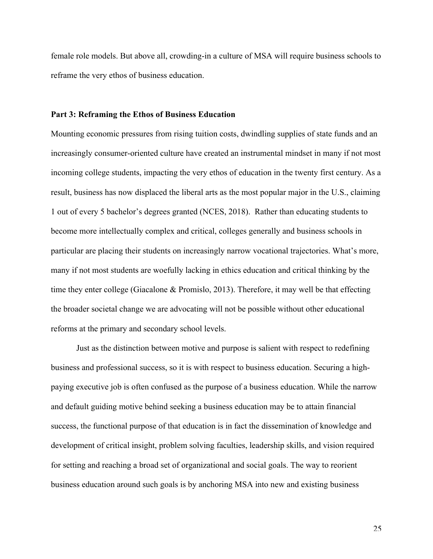female role models. But above all, crowding-in a culture of MSA will require business schools to reframe the very ethos of business education.

#### **Part 3: Reframing the Ethos of Business Education**

Mounting economic pressures from rising tuition costs, dwindling supplies of state funds and an increasingly consumer-oriented culture have created an instrumental mindset in many if not most incoming college students, impacting the very ethos of education in the twenty first century. As a result, business has now displaced the liberal arts as the most popular major in the U.S., claiming 1 out of every 5 bachelor's degrees granted (NCES, 2018). Rather than educating students to become more intellectually complex and critical, colleges generally and business schools in particular are placing their students on increasingly narrow vocational trajectories. What's more, many if not most students are woefully lacking in ethics education and critical thinking by the time they enter college (Giacalone & Promislo, 2013). Therefore, it may well be that effecting the broader societal change we are advocating will not be possible without other educational reforms at the primary and secondary school levels.

Just as the distinction between motive and purpose is salient with respect to redefining business and professional success, so it is with respect to business education. Securing a highpaying executive job is often confused as the purpose of a business education. While the narrow and default guiding motive behind seeking a business education may be to attain financial success, the functional purpose of that education is in fact the dissemination of knowledge and development of critical insight, problem solving faculties, leadership skills, and vision required for setting and reaching a broad set of organizational and social goals. The way to reorient business education around such goals is by anchoring MSA into new and existing business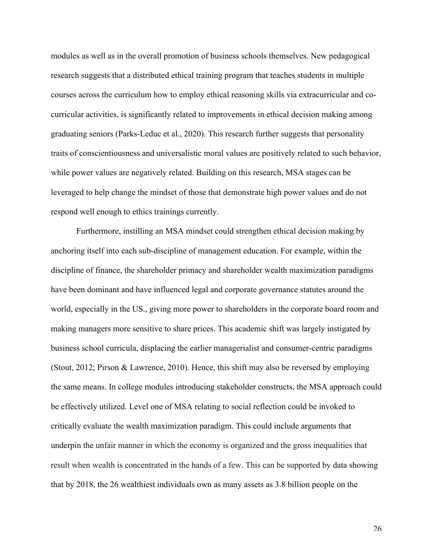modules as well as in the overall promotion of business schools themselves. New pedagogical research suggests that a distributed ethical training program that teaches students in multiple courses across the curriculum how to employ ethical reasoning skills via extracurricular and cocurricular activities, is significantly related to improvements in ethical decision making among graduating seniors (Parks-Leduc et al., 2020). This research further suggests that personality traits of conscientiousness and universalistic moral values are positively related to such behavior, while power values are negatively related. Building on this research, MSA stages can be leveraged to help change the mindset of those that demonstrate high power values and do not respond well enough to ethics trainings currently.

Furthermore, instilling an MSA mindset could strengthen ethical decision making by anchoring itself into each sub-discipline of management education. For example, within the discipline of finance, the shareholder primacy and shareholder wealth maximization paradigms have been dominant and have influenced legal and corporate governance statutes around the world, especially in the US., giving more power to shareholders in the corporate board room and making managers more sensitive to share prices. This academic shift was largely instigated by business school curricula, displacing the earlier managerialist and consumer-centric paradigms (Stout, 2012; Pirson & Lawrence, 2010). Hence, this shift may also be reversed by employing the same means. In college modules introducing stakeholder constructs, the MSA approach could be effectively utilized. Level one of MSA relating to social reflection could be invoked to critically evaluate the wealth maximization paradigm. This could include arguments that underpin the unfair manner in which the economy is organized and the gross inequalities that result when wealth is concentrated in the hands of a few. This can be supported by data showing that by 2018, the 26 wealthiest individuals own as many assets as 3.8 billion people on the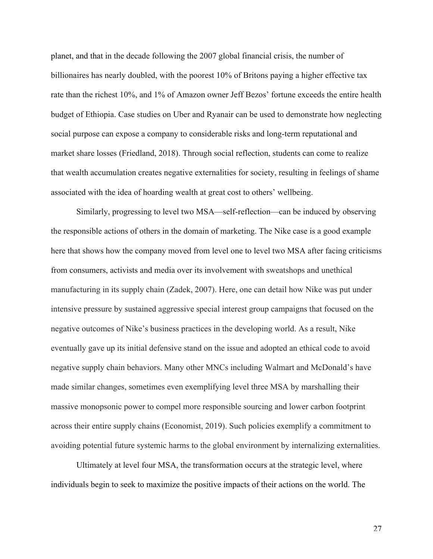planet, and that in the decade following the 2007 global financial crisis, the number of billionaires has nearly doubled, with the poorest 10% of Britons paying a higher effective tax rate than the richest 10%, and 1% of Amazon owner Jeff Bezos' fortune exceeds the entire health budget of Ethiopia. Case studies on Uber and Ryanair can be used to demonstrate how neglecting social purpose can expose a company to considerable risks and long-term reputational and market share losses (Friedland, 2018). Through social reflection, students can come to realize that wealth accumulation creates negative externalities for society, resulting in feelings of shame associated with the idea of hoarding wealth at great cost to others' wellbeing.

Similarly, progressing to level two MSA—self-reflection—can be induced by observing the responsible actions of others in the domain of marketing. The Nike case is a good example here that shows how the company moved from level one to level two MSA after facing criticisms from consumers, activists and media over its involvement with sweatshops and unethical manufacturing in its supply chain (Zadek, 2007). Here, one can detail how Nike was put under intensive pressure by sustained aggressive special interest group campaigns that focused on the negative outcomes of Nike's business practices in the developing world. As a result, Nike eventually gave up its initial defensive stand on the issue and adopted an ethical code to avoid negative supply chain behaviors. Many other MNCs including Walmart and McDonald's have made similar changes, sometimes even exemplifying level three MSA by marshalling their massive monopsonic power to compel more responsible sourcing and lower carbon footprint across their entire supply chains (Economist, 2019). Such policies exemplify a commitment to avoiding potential future systemic harms to the global environment by internalizing externalities.

Ultimately at level four MSA, the transformation occurs at the strategic level, where individuals begin to seek to maximize the positive impacts of their actions on the world. The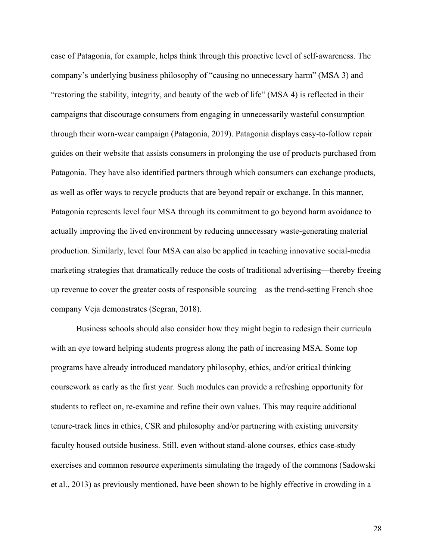case of Patagonia, for example, helps think through this proactive level of self-awareness. The company's underlying business philosophy of "causing no unnecessary harm" (MSA 3) and "restoring the stability, integrity, and beauty of the web of life" (MSA 4) is reflected in their campaigns that discourage consumers from engaging in unnecessarily wasteful consumption through their worn-wear campaign (Patagonia, 2019). Patagonia displays easy-to-follow repair guides on their website that assists consumers in prolonging the use of products purchased from Patagonia. They have also identified partners through which consumers can exchange products, as well as offer ways to recycle products that are beyond repair or exchange. In this manner, Patagonia represents level four MSA through its commitment to go beyond harm avoidance to actually improving the lived environment by reducing unnecessary waste-generating material production. Similarly, level four MSA can also be applied in teaching innovative social-media marketing strategies that dramatically reduce the costs of traditional advertising—thereby freeing up revenue to cover the greater costs of responsible sourcing—as the trend-setting French shoe company Veja demonstrates (Segran, 2018).

Business schools should also consider how they might begin to redesign their curricula with an eye toward helping students progress along the path of increasing MSA. Some top programs have already introduced mandatory philosophy, ethics, and/or critical thinking coursework as early as the first year. Such modules can provide a refreshing opportunity for students to reflect on, re-examine and refine their own values. This may require additional tenure-track lines in ethics, CSR and philosophy and/or partnering with existing university faculty housed outside business. Still, even without stand-alone courses, ethics case-study exercises and common resource experiments simulating the tragedy of the commons (Sadowski et al., 2013) as previously mentioned, have been shown to be highly effective in crowding in a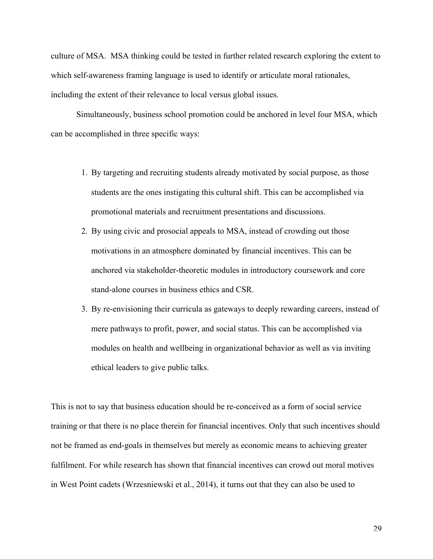culture of MSA. MSA thinking could be tested in further related research exploring the extent to which self-awareness framing language is used to identify or articulate moral rationales, including the extent of their relevance to local versus global issues.

Simultaneously, business school promotion could be anchored in level four MSA, which can be accomplished in three specific ways:

- 1. By targeting and recruiting students already motivated by social purpose, as those students are the ones instigating this cultural shift. This can be accomplished via promotional materials and recruitment presentations and discussions.
- 2. By using civic and prosocial appeals to MSA, instead of crowding out those motivations in an atmosphere dominated by financial incentives. This can be anchored via stakeholder-theoretic modules in introductory coursework and core stand-alone courses in business ethics and CSR.
- 3. By re-envisioning their curricula as gateways to deeply rewarding careers, instead of mere pathways to profit, power, and social status. This can be accomplished via modules on health and wellbeing in organizational behavior as well as via inviting ethical leaders to give public talks.

This is not to say that business education should be re-conceived as a form of social service training or that there is no place therein for financial incentives. Only that such incentives should not be framed as end-goals in themselves but merely as economic means to achieving greater fulfilment. For while research has shown that financial incentives can crowd out moral motives in West Point cadets (Wrzesniewski et al., 2014), it turns out that they can also be used to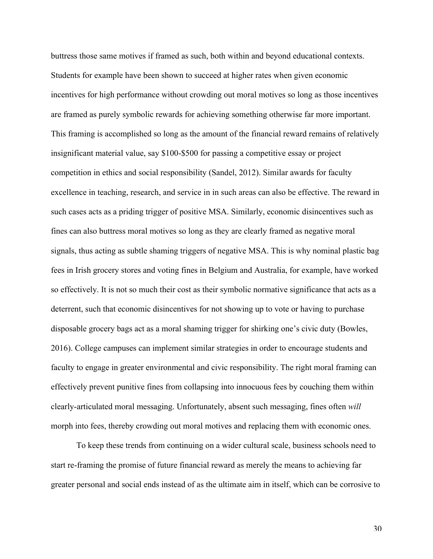buttress those same motives if framed as such, both within and beyond educational contexts. Students for example have been shown to succeed at higher rates when given economic incentives for high performance without crowding out moral motives so long as those incentives are framed as purely symbolic rewards for achieving something otherwise far more important. This framing is accomplished so long as the amount of the financial reward remains of relatively insignificant material value, say \$100-\$500 for passing a competitive essay or project competition in ethics and social responsibility (Sandel, 2012). Similar awards for faculty excellence in teaching, research, and service in in such areas can also be effective. The reward in such cases acts as a priding trigger of positive MSA. Similarly, economic disincentives such as fines can also buttress moral motives so long as they are clearly framed as negative moral signals, thus acting as subtle shaming triggers of negative MSA. This is why nominal plastic bag fees in Irish grocery stores and voting fines in Belgium and Australia, for example, have worked so effectively. It is not so much their cost as their symbolic normative significance that acts as a deterrent, such that economic disincentives for not showing up to vote or having to purchase disposable grocery bags act as a moral shaming trigger for shirking one's civic duty (Bowles, 2016). College campuses can implement similar strategies in order to encourage students and faculty to engage in greater environmental and civic responsibility. The right moral framing can effectively prevent punitive fines from collapsing into innocuous fees by couching them within clearly-articulated moral messaging. Unfortunately, absent such messaging, fines often *will* morph into fees, thereby crowding out moral motives and replacing them with economic ones.

To keep these trends from continuing on a wider cultural scale, business schools need to start re-framing the promise of future financial reward as merely the means to achieving far greater personal and social ends instead of as the ultimate aim in itself, which can be corrosive to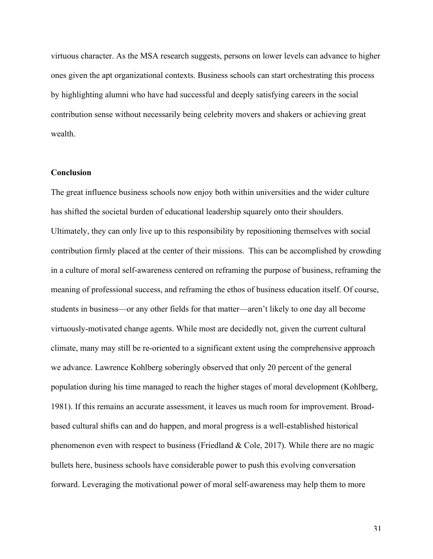virtuous character. As the MSA research suggests, persons on lower levels can advance to higher ones given the apt organizational contexts. Business schools can start orchestrating this process by highlighting alumni who have had successful and deeply satisfying careers in the social contribution sense without necessarily being celebrity movers and shakers or achieving great wealth.

#### **Conclusion**

The great influence business schools now enjoy both within universities and the wider culture has shifted the societal burden of educational leadership squarely onto their shoulders. Ultimately, they can only live up to this responsibility by repositioning themselves with social contribution firmly placed at the center of their missions. This can be accomplished by crowding in a culture of moral self-awareness centered on reframing the purpose of business, reframing the meaning of professional success, and reframing the ethos of business education itself. Of course, students in business—or any other fields for that matter—aren't likely to one day all become virtuously-motivated change agents. While most are decidedly not, given the current cultural climate, many may still be re-oriented to a significant extent using the comprehensive approach we advance. Lawrence Kohlberg soberingly observed that only 20 percent of the general population during his time managed to reach the higher stages of moral development (Kohlberg, 1981). If this remains an accurate assessment, it leaves us much room for improvement. Broadbased cultural shifts can and do happen, and moral progress is a well-established historical phenomenon even with respect to business (Friedland & Cole, 2017). While there are no magic bullets here, business schools have considerable power to push this evolving conversation forward. Leveraging the motivational power of moral self-awareness may help them to more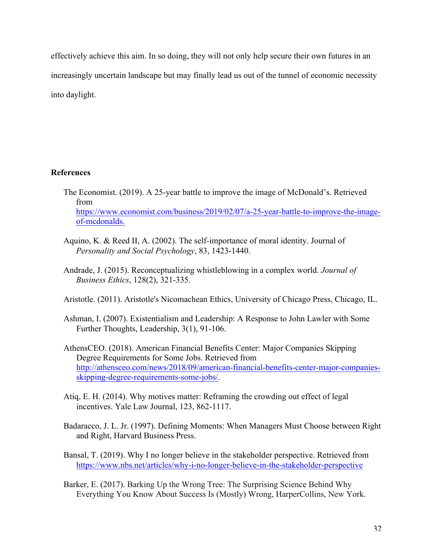effectively achieve this aim. In so doing, they will not only help secure their own futures in an increasingly uncertain landscape but may finally lead us out of the tunnel of economic necessity into daylight.

# **References**

- The Economist. (2019). A 25-year battle to improve the image of McDonald's. Retrieved from https://www.economist.com/business/2019/02/07/a-25-year-battle-to-improve-the-imageof-mcdonalds.
- Aquino, K. & Reed II, A. (2002). The self-importance of moral identity. Journal of *Personality and Social Psychology*, 83, 1423-1440.
- Andrade, J. (2015). Reconceptualizing whistleblowing in a complex world. *Journal of Business Ethics*, 128(2), 321-335.
- Aristotle. (2011). Aristotle's Nicomachean Ethics, University of Chicago Press, Chicago, IL.
- Ashman, I. (2007). Existentialism and Leadership: A Response to John Lawler with Some Further Thoughts, Leadership, 3(1), 91-106.
- AthensCEO. (2018). American Financial Benefits Center: Major Companies Skipping Degree Requirements for Some Jobs. Retrieved from http://athensceo.com/news/2018/09/american-financial-benefits-center-major-companiesskipping-degree-requirements-some-jobs/.
- Atiq, E. H. (2014). Why motives matter: Reframing the crowding out effect of legal incentives. Yale Law Journal, 123, 862-1117.
- Badaracco, J. L. Jr. (1997). Defining Moments: When Managers Must Choose between Right and Right, Harvard Business Press.
- Bansal, T. (2019). Why I no longer believe in the stakeholder perspective. Retrieved from https://www.nbs.net/articles/why-i-no-longer-believe-in-the-stakeholder-perspective
- Barker, E. (2017). Barking Up the Wrong Tree: The Surprising Science Behind Why Everything You Know About Success Is (Mostly) Wrong, HarperCollins, New York.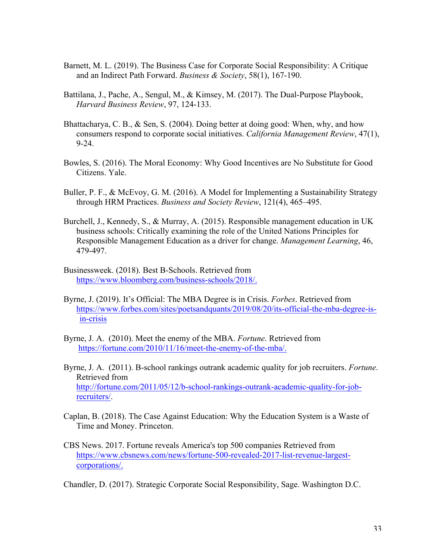- Barnett, M. L. (2019). The Business Case for Corporate Social Responsibility: A Critique and an Indirect Path Forward. *Business & Society*, 58(1), 167-190.
- Battilana, J., Pache, A., Sengul, M., & Kimsey, M. (2017). The Dual-Purpose Playbook, *Harvard Business Review*, 97, 124-133.
- Bhattacharya, C. B., & Sen, S. (2004). Doing better at doing good: When, why, and how consumers respond to corporate social initiatives. *California Management Review*, 47(1), 9-24.
- Bowles, S. (2016). The Moral Economy: Why Good Incentives are No Substitute for Good Citizens. Yale.
- Buller, P. F., & McEvoy, G. M. (2016). A Model for Implementing a Sustainability Strategy through HRM Practices. *Business and Society Review*, 121(4), 465–495.
- Burchell, J., Kennedy, S., & Murray, A. (2015). Responsible management education in UK business schools: Critically examining the role of the United Nations Principles for Responsible Management Education as a driver for change. *Management Learning*, 46, 479-497.
- Businessweek. (2018). Best B-Schools. Retrieved from https://www.bloomberg.com/business-schools/2018/.
- Byrne, J. (2019). It's Official: The MBA Degree is in Crisis. *Forbes*. Retrieved from https://www.forbes.com/sites/poetsandquants/2019/08/20/its-official-the-mba-degree-isin-crisis
- Byrne, J. A. (2010). Meet the enemy of the MBA. *Fortune*. Retrieved from https://fortune.com/2010/11/16/meet-the-enemy-of-the-mba/.
- Byrne, J. A. (2011). B-school rankings outrank academic quality for job recruiters. *Fortune*. Retrieved from http://fortune.com/2011/05/12/b-school-rankings-outrank-academic-quality-for-jobrecruiters/.
- Caplan, B. (2018). The Case Against Education: Why the Education System is a Waste of Time and Money. Princeton.
- CBS News. 2017. Fortune reveals America's top 500 companies Retrieved from https://www.cbsnews.com/news/fortune-500-revealed-2017-list-revenue-largestcorporations/.

Chandler, D. (2017). Strategic Corporate Social Responsibility, Sage. Washington D.C.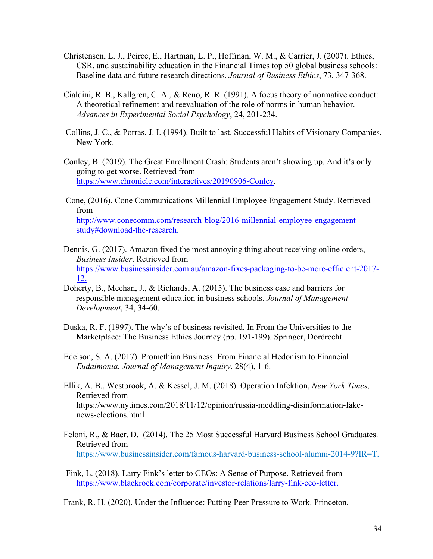- Christensen, L. J., Peirce, E., Hartman, L. P., Hoffman, W. M., & Carrier, J. (2007). Ethics, CSR, and sustainability education in the Financial Times top 50 global business schools: Baseline data and future research directions. *Journal of Business Ethics*, 73, 347-368.
- Cialdini, R. B., Kallgren, C. A., & Reno, R. R. (1991). A focus theory of normative conduct: A theoretical refinement and reevaluation of the role of norms in human behavior. *Advances in Experimental Social Psychology*, 24, 201-234.
- Collins, J. C., & Porras, J. I. (1994). Built to last. Successful Habits of Visionary Companies. New York.
- Conley, B. (2019). The Great Enrollment Crash: Students aren't showing up. And it's only going to get worse. Retrieved from https://www.chronicle.com/interactives/20190906-Conley.

Cone, (2016). Cone Communications Millennial Employee Engagement Study. Retrieved from http://www.conecomm.com/research-blog/2016-millennial-employee-engagementstudy#download-the-research.

- Dennis, G. (2017). Amazon fixed the most annoying thing about receiving online orders, *Business Insider*. Retrieved from https://www.businessinsider.com.au/amazon-fixes-packaging-to-be-more-efficient-2017- 12.
- Doherty, B., Meehan, J., & Richards, A. (2015). The business case and barriers for responsible management education in business schools. *Journal of Management Development*, 34, 34-60.
- Duska, R. F. (1997). The why's of business revisited. In From the Universities to the Marketplace: The Business Ethics Journey (pp. 191-199). Springer, Dordrecht.
- Edelson, S. A. (2017). Promethian Business: From Financial Hedonism to Financial *Eudaimonia. Journal of Management Inquiry*. 28(4), 1-6.
- Ellik, A. B., Westbrook, A. & Kessel, J. M. (2018). Operation Infektion, *New York Times*, Retrieved from https://www.nytimes.com/2018/11/12/opinion/russia-meddling-disinformation-fakenews-elections.html
- Feloni, R., & Baer, D. (2014). The 25 Most Successful Harvard Business School Graduates. Retrieved from https://www.businessinsider.com/famous-harvard-business-school-alumni-2014-9?IR=T.
- Fink, L. (2018). Larry Fink's letter to CEOs: A Sense of Purpose. Retrieved from https://www.blackrock.com/corporate/investor-relations/larry-fink-ceo-letter.

Frank, R. H. (2020). Under the Influence: Putting Peer Pressure to Work. Princeton.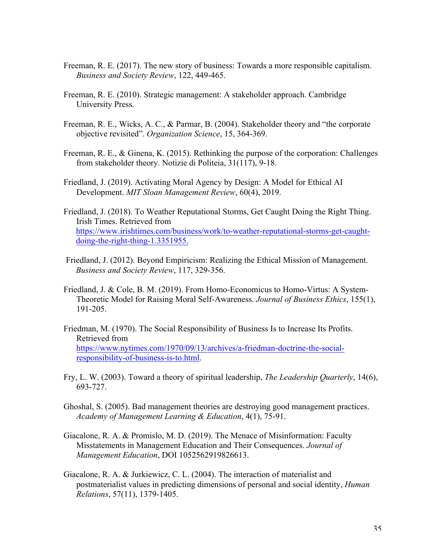- Freeman, R. E. (2017). The new story of business: Towards a more responsible capitalism. *Business and Society Review*, 122, 449-465.
- Freeman, R. E. (2010). Strategic management: A stakeholder approach. Cambridge University Press.
- Freeman, R. E., Wicks, A. C., & Parmar, B. (2004). Stakeholder theory and "the corporate objective revisited". *Organization Science*, 15, 364-369.
- Freeman, R. E., & Ginena, K. (2015). Rethinking the purpose of the corporation: Challenges from stakeholder theory. Notizie di Politeia, 31(117), 9-18.
- Friedland, J. (2019). Activating Moral Agency by Design: A Model for Ethical AI Development. *MIT Sloan Management Review*, 60(4), 2019.
- Friedland, J. (2018). To Weather Reputational Storms, Get Caught Doing the Right Thing. Irish Times. Retrieved from https://www.irishtimes.com/business/work/to-weather-reputational-storms-get-caughtdoing-the-right-thing-1.3351955.
- Friedland, J. (2012). Beyond Empiricism: Realizing the Ethical Mission of Management. *Business and Society Review*, 117, 329-356.
- Friedland, J. & Cole, B. M. (2019). From Homo-Economicus to Homo-Virtus: A System-Theoretic Model for Raising Moral Self-Awareness. *Journal of Business Ethics*, 155(1), 191-205.
- Friedman, M. (1970). The Social Responsibility of Business Is to Increase Its Profits. Retrieved from https://www.nytimes.com/1970/09/13/archives/a-friedman-doctrine-the-socialresponsibility-of-business-is-to.html.
- Fry, L. W. (2003). Toward a theory of spiritual leadership, *The Leadership Quarterly*, 14(6), 693-727.
- Ghoshal, S. (2005). Bad management theories are destroying good management practices. *Academy of Management Learning & Education*, 4(1), 75-91.
- Giacalone, R. A. & Promislo, M. D. (2019). The Menace of Misinformation: Faculty Misstatements in Management Education and Their Consequences. *Journal of Management Education*, DOI 1052562919826613.
- Giacalone, R. A. & Jurkiewicz, C. L. (2004). The interaction of materialist and postmaterialist values in predicting dimensions of personal and social identity, *Human Relations*, 57(11), 1379-1405.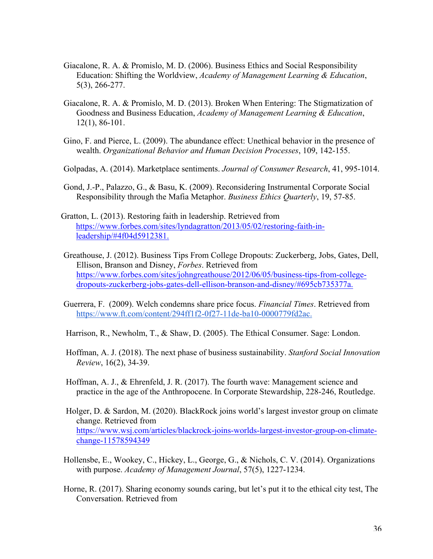- Giacalone, R. A. & Promislo, M. D. (2006). Business Ethics and Social Responsibility Education: Shifting the Worldview, *Academy of Management Learning & Education*, 5(3), 266-277.
- Giacalone, R. A. & Promislo, M. D. (2013). Broken When Entering: The Stigmatization of Goodness and Business Education, *Academy of Management Learning & Education*, 12(1), 86-101.
- Gino, F. and Pierce, L. (2009). The abundance effect: Unethical behavior in the presence of wealth. *Organizational Behavior and Human Decision Processes*, 109, 142-155.
- Golpadas, A. (2014). Marketplace sentiments. *Journal of Consumer Research*, 41, 995-1014.
- Gond, J.-P., Palazzo, G., & Basu, K. (2009). Reconsidering Instrumental Corporate Social Responsibility through the Mafia Metaphor. *Business Ethics Quarterly*, 19, 57-85.
- Gratton, L. (2013). Restoring faith in leadership. Retrieved from https://www.forbes.com/sites/lyndagratton/2013/05/02/restoring-faith-inleadership/#4f04d5912381.
- Greathouse, J. (2012). Business Tips From College Dropouts: Zuckerberg, Jobs, Gates, Dell, Ellison, Branson and Disney, *Forbes*. Retrieved from https://www.forbes.com/sites/johngreathouse/2012/06/05/business-tips-from-collegedropouts-zuckerberg-jobs-gates-dell-ellison-branson-and-disney/#695cb735377a.
- Guerrera, F. (2009). Welch condemns share price focus. *Financial Times*. Retrieved from https://www.ft.com/content/294ff1f2-0f27-11de-ba10-0000779fd2ac.
- Harrison, R., Newholm, T., & Shaw, D. (2005). The Ethical Consumer. Sage: London.
- Hoffman, A. J. (2018). The next phase of business sustainability. *Stanford Social Innovation Review*, 16(2), 34-39.
- Hoffman, A. J., & Ehrenfeld, J. R. (2017). The fourth wave: Management science and practice in the age of the Anthropocene. In Corporate Stewardship, 228-246, Routledge.
- Holger, D. & Sardon, M. (2020). BlackRock joins world's largest investor group on climate change. Retrieved from https://www.wsj.com/articles/blackrock-joins-worlds-largest-investor-group-on-climatechange-11578594349
- Hollensbe, E., Wookey, C., Hickey, L., George, G., & Nichols, C. V. (2014). Organizations with purpose. *Academy of Management Journal*, 57(5), 1227-1234.
- Horne, R. (2017). Sharing economy sounds caring, but let's put it to the ethical city test, The Conversation. Retrieved from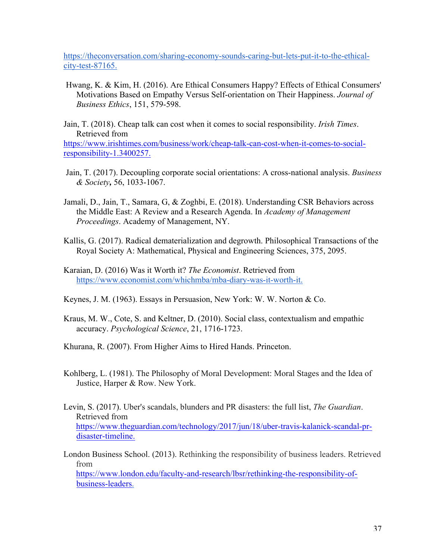https://theconversation.com/sharing-economy-sounds-caring-but-lets-put-it-to-the-ethicalcity-test-87165.

- Hwang, K. & Kim, H. (2016). Are Ethical Consumers Happy? Effects of Ethical Consumers' Motivations Based on Empathy Versus Self-orientation on Their Happiness. *Journal of Business Ethics*, 151, 579-598.
- Jain, T. (2018). Cheap talk can cost when it comes to social responsibility. *Irish Times*. Retrieved from

https://www.irishtimes.com/business/work/cheap-talk-can-cost-when-it-comes-to-socialresponsibility-1.3400257.

- Jain, T. (2017). Decoupling corporate social orientations: A cross-national analysis. *Business & Society,* 56, 1033-1067.
- Jamali, D., Jain, T., Samara, G, & Zoghbi, E. (2018). Understanding CSR Behaviors across the Middle East: A Review and a Research Agenda. In *Academy of Management Proceedings*. Academy of Management, NY.
- Kallis, G. (2017). Radical dematerialization and degrowth. Philosophical Transactions of the Royal Society A: Mathematical, Physical and Engineering Sciences, 375, 2095.
- Karaian, D. (2016) Was it Worth it? *The Economist*. Retrieved from https://www.economist.com/whichmba/mba-diary-was-it-worth-it.
- Keynes, J. M. (1963). Essays in Persuasion, New York: W. W. Norton & Co.
- Kraus, M. W., Cote, S. and Keltner, D. (2010). Social class, contextualism and empathic accuracy. *Psychological Science*, 21, 1716-1723.
- Khurana, R. (2007). From Higher Aims to Hired Hands. Princeton.
- Kohlberg, L. (1981). The Philosophy of Moral Development: Moral Stages and the Idea of Justice, Harper & Row. New York.
- Levin, S. (2017). Uber's scandals, blunders and PR disasters: the full list, *The Guardian*. Retrieved from https://www.theguardian.com/technology/2017/jun/18/uber-travis-kalanick-scandal-prdisaster-timeline.
- London Business School. (2013). Rethinking the responsibility of business leaders. Retrieved from https://www.london.edu/faculty-and-research/lbsr/rethinking-the-responsibility-ofbusiness-leaders.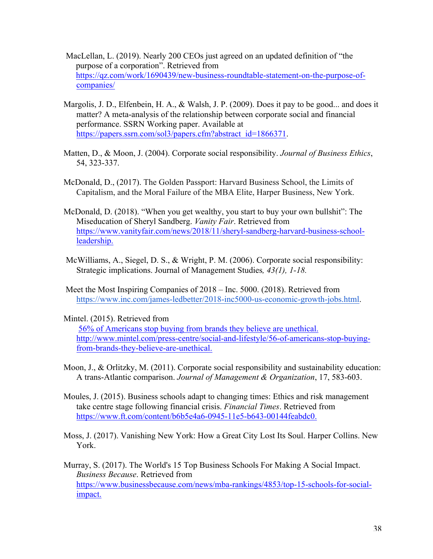- MacLellan, L. (2019). Nearly 200 CEOs just agreed on an updated definition of "the purpose of a corporation". Retrieved from https://qz.com/work/1690439/new-business-roundtable-statement-on-the-purpose-ofcompanies/
- Margolis, J. D., Elfenbein, H. A., & Walsh, J. P. (2009). Does it pay to be good... and does it matter? A meta-analysis of the relationship between corporate social and financial performance. SSRN Working paper. Available at https://papers.ssrn.com/sol3/papers.cfm?abstract\_id=1866371.
- Matten, D., & Moon, J. (2004). Corporate social responsibility. *Journal of Business Ethics*, 54, 323-337.
- McDonald, D., (2017). The Golden Passport: Harvard Business School, the Limits of Capitalism, and the Moral Failure of the MBA Elite, Harper Business, New York.
- McDonald, D. (2018). "When you get wealthy, you start to buy your own bullshit": The Miseducation of Sheryl Sandberg. *Vanity Fair*. Retrieved from https://www.vanityfair.com/news/2018/11/sheryl-sandberg-harvard-business-schoolleadership.
- McWilliams, A., Siegel, D. S., & Wright, P. M. (2006). Corporate social responsibility: Strategic implications. Journal of Management Studies*, 43(1), 1-18.*
- Meet the Most Inspiring Companies of 2018 Inc. 5000. (2018). Retrieved from https://www.inc.com/james-ledbetter/2018-inc5000-us-economic-growth-jobs.html.

Mintel. (2015). Retrieved from

56% of Americans stop buying from brands they believe are unethical. http://www.mintel.com/press-centre/social-and-lifestyle/56-of-americans-stop-buyingfrom-brands-they-believe-are-unethical.

- Moon, J., & Orlitzky, M. (2011). Corporate social responsibility and sustainability education: A trans-Atlantic comparison. *Journal of Management & Organization*, 17, 583-603.
- Moules, J. (2015). Business schools adapt to changing times: Ethics and risk management take centre stage following financial crisis. *Financial Times*. Retrieved from https://www.ft.com/content/b6b5e4a6-0945-11e5-b643-00144feabdc0.
- Moss, J. (2017). Vanishing New York: How a Great City Lost Its Soul. Harper Collins. New York.
- Murray, S. (2017). The World's 15 Top Business Schools For Making A Social Impact. *Business Because*. Retrieved from https://www.businessbecause.com/news/mba-rankings/4853/top-15-schools-for-socialimpact.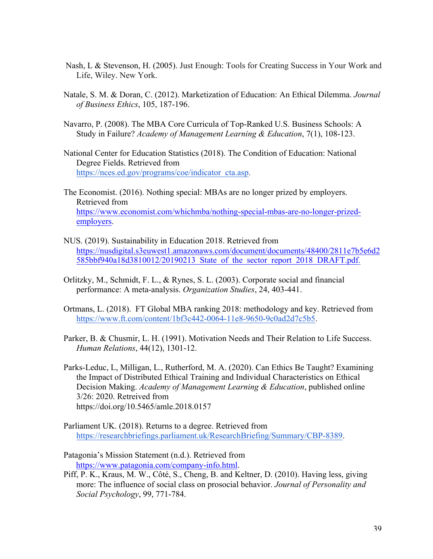- Nash, L & Stevenson, H. (2005). Just Enough: Tools for Creating Success in Your Work and Life, Wiley. New York.
- Natale, S. M. & Doran, C. (2012). Marketization of Education: An Ethical Dilemma. *Journal of Business Ethics*, 105, 187-196.
- Navarro, P. (2008). The MBA Core Curricula of Top-Ranked U.S. Business Schools: A Study in Failure? *Academy of Management Learning & Education*, 7(1), 108-123.
- National Center for Education Statistics (2018). The Condition of Education: National Degree Fields. Retrieved from https://nces.ed.gov/programs/coe/indicator\_cta.asp.
- The Economist. (2016). Nothing special: MBAs are no longer prized by employers. Retrieved from https://www.economist.com/whichmba/nothing-special-mbas-are-no-longer-prizedemployers.
- NUS. (2019). Sustainability in Education 2018. Retrieved from https://nusdigital.s3euwest1.amazonaws.com/document/documents/48400/2811e7b5e6d2 585bbf940a18d3810012/20190213 State of the sector report 2018 DRAFT.pdf.
- Orlitzky, M., Schmidt, F. L., & Rynes, S. L. (2003). Corporate social and financial performance: A meta-analysis. *Organization Studies*, 24, 403-441.
- Ortmans, L. (2018). FT Global MBA ranking 2018: methodology and key. Retrieved from https://www.ft.com/content/1bf3c442-0064-11e8-9650-9c0ad2d7c5b5.
- Parker, B. & Chusmir, L. H. (1991). Motivation Needs and Their Relation to Life Success. *Human Relations*, 44(12), 1301-12.
- Parks-Leduc, L, Milligan, L., Rutherford, M. A. (2020). Can Ethics Be Taught? Examining the Impact of Distributed Ethical Training and Individual Characteristics on Ethical Decision Making. *Academy of Management Learning & Education*, published online 3/26: 2020. Retreived from https://doi.org/10.5465/amle.2018.0157
- Parliament UK. (2018). Returns to a degree. Retrieved from https://researchbriefings.parliament.uk/ResearchBriefing/Summary/CBP-8389.
- Patagonia's Mission Statement (n.d.). Retrieved from https://www.patagonia.com/company-info.html.
- Piff, P. K., Kraus, M. W., Côté, S., Cheng, B. and Keltner, D. (2010). Having less, giving more: The influence of social class on prosocial behavior. *Journal of Personality and Social Psychology*, 99, 771-784.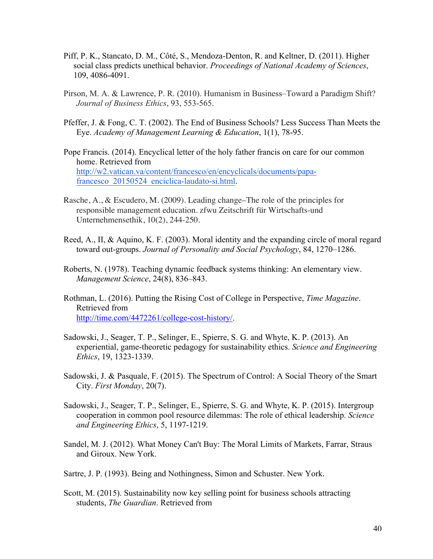- Piff, P. K., Stancato, D. M., Côté, S., Mendoza-Denton, R. and Keltner, D. (2011). Higher social class predicts unethical behavior. *Proceedings of National Academy of Sciences*, 109, 4086-4091.
- Pirson, M. A. & Lawrence, P. R. (2010). Humanism in Business–Toward a Paradigm Shift? *Journal of Business Ethics*, 93, 553-565.
- Pfeffer, J. & Fong, C. T. (2002). The End of Business Schools? Less Success Than Meets the Eye. *Academy of Management Learning & Education*, 1(1), 78-95.
- Pope Francis. (2014). Encyclical letter of the holy father francis on care for our common home. Retrieved from http://w2.vatican.va/content/francesco/en/encyclicals/documents/papafrancesco\_20150524\_enciclica-laudato-si.html.
- Rasche, A., & Escudero, M. (2009). Leading change–The role of the principles for responsible management education. zfwu Zeitschrift für Wirtschafts-und Unternehmensethik, 10(2), 244-250.
- Reed, A., II, & Aquino, K. F. (2003). Moral identity and the expanding circle of moral regard toward out-groups. *Journal of Personality and Social Psychology*, 84, 1270–1286.
- Roberts, N. (1978). Teaching dynamic feedback systems thinking: An elementary view. *Management Science*, 24(8), 836–843.
- Rothman, L. (2016). Putting the Rising Cost of College in Perspective, *Time Magazine*. Retrieved from http://time.com/4472261/college-cost-history/.
- Sadowski, J., Seager, T. P., Selinger, E., Spierre, S. G. and Whyte, K. P. (2013). An experiential, game-theoretic pedagogy for sustainability ethics. *Science and Engineering Ethics*, 19, 1323-1339.
- Sadowski, J. & Pasquale, F. (2015). The Spectrum of Control: A Social Theory of the Smart City. *First Monday*, 20(7).
- Sadowski, J., Seager, T. P., Selinger, E., Spierre, S. G. and Whyte, K. P. (2015). Intergroup cooperation in common pool resource dilemmas: The role of ethical leadership. *Science and Engineering Ethics*, 5, 1197-1219.
- Sandel, M. J. (2012). What Money Can't Buy: The Moral Limits of Markets, Farrar, Straus and Giroux. New York.
- Sartre, J. P. (1993). Being and Nothingness, Simon and Schuster. New York.
- Scott, M. (2015). Sustainability now key selling point for business schools attracting students, *The Guardian*. Retrieved from